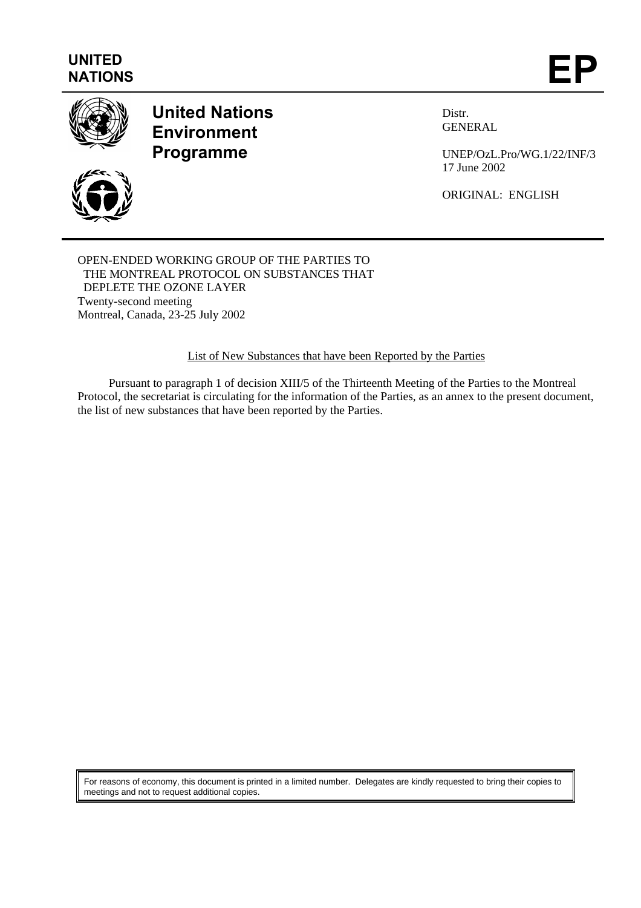## **UNITED** UNITED<br>NATIONS **EP**



### **United Nations Environment Programme**



Distr. GENERAL

UNEP/OzL.Pro/WG.1/22/INF/3 17 June 2002

ORIGINAL: ENGLISH

#### OPEN-ENDED WORKING GROUP OF THE PARTIES TO THE MONTREAL PROTOCOL ON SUBSTANCES THAT DEPLETE THE OZONE LAYER Twenty-second meeting Montreal, Canada, 23-25 July 2002

List of New Substances that have been Reported by the Parties

Pursuant to paragraph 1 of decision XIII/5 of the Thirteenth Meeting of the Parties to the Montreal Protocol, the secretariat is circulating for the information of the Parties, as an annex to the present document, the list of new substances that have been reported by the Parties.

For reasons of economy, this document is printed in a limited number. Delegates are kindly requested to bring their copies to meetings and not to request additional copies.